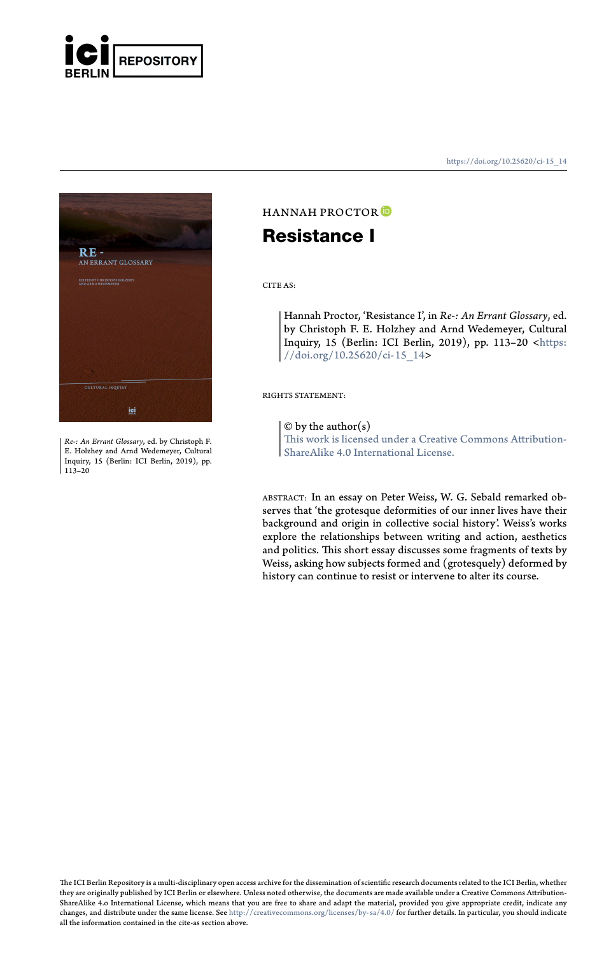

**RE -**<br>an errant glossary

*Re-: An Errant Glossary*, ed. by Christoph F. E. Holzhey and Arnd Wedemeyer, Cultural Inquiry, 15 (Berlin: ICI Berlin, 2019), pp. 113–20

https://doi.org/10.25620/ci- 15\_14

# HANNAH PROCTOR

### **Resistance I**

CITE AS:

Hannah Proctor, 'Resistance I', in *Re-: An Errant Glossary*, ed. by Christoph F. E. Holzhey and Arnd Wedemeyer, Cultural Inquiry, 15 (Berlin: ICI Berlin, 2019), pp. 113–20 <https: //doi.org/10.25620/ci-15\_14>

#### RIGHTS STATEMENT:

 $\ensuremath{\mathbb{O}}$  by the author(s)

This work is licensed under a Creative Commons Attribution-ShareAlike 4.0 International License.

ABSTRACT: In an essay on Peter Weiss, W. G. Sebald remarked ob-serves that 'the grotesque deformities of our inner lives have their background and origin in collective social history'. Weiss's works explore the relationships between writing and action, aesthetics [and politics. This short essay](http://creativecommons.org/licenses/by-sa/4.0/) discusses some fragments of texts by Weiss, asking how subjects formed and (grotesquely) deformed by history can continue to resist or intervene to alter its course.

The ICI Berlin Repository is a multi-disciplinary open access archive for the dissemination of scientific research documents related to the ICI Berlin, whether<br>they are originally published by ICI Berlin or elsewhere. Unle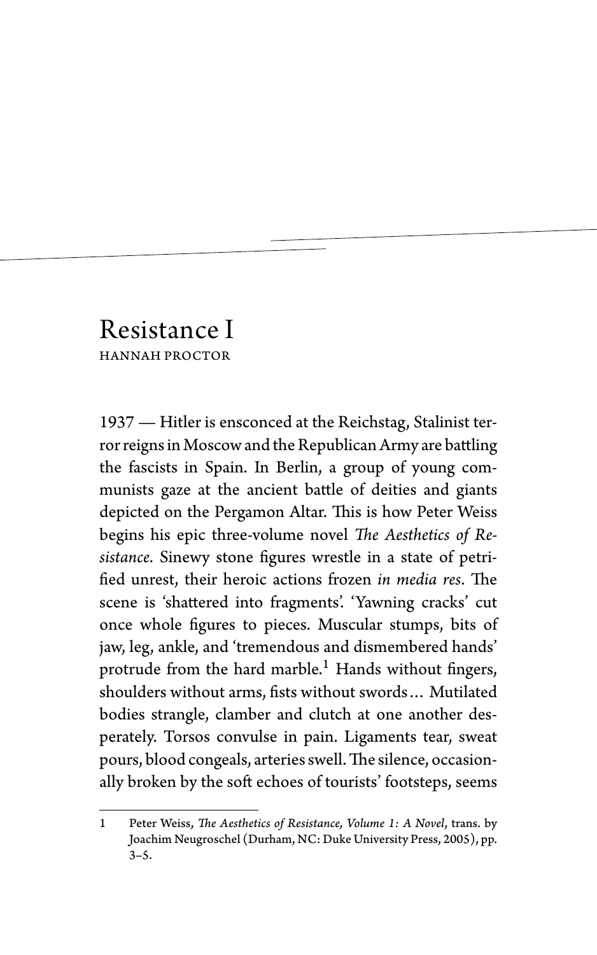## Resistance I HANNAH PROCTOR

1937 — Hitler is ensconced at the Reichstag, Stalinist terror reigns in Moscow and the Republican Army are battling the fascists in Spain. In Berlin, a group of young communists gaze at the ancient battle of deities and giants depicted on the Pergamon Altar. This is how Peter Weiss begins his epic three-volume novel *The Aesthetics of Resistance*. Sinewy stone figures wrestle in a state of petrified unrest, their heroic actions frozen *in media res*. The scene is 'shattered into fragments'. 'Yawning cracks' cut once whole figures to pieces. Muscular stumps, bits of jaw, leg, ankle, and 'tremendous and dismembered hands' protrude from the hard marble.<sup>1</sup> Hands without fingers, shoulders without arms, fists without swords… Mutilated bodies strangle, clamber and clutch at one another desperately. Torsos convulse in pain. Ligaments tear, sweat pours, blood congeals, arteries swell.The silence, occasionally broken by the soft echoes of tourists' footsteps, seems

<sup>1</sup> Peter Weiss, *The Aesthetics of Resistance, Volume 1: A Novel*, trans. by Joachim Neugroschel (Durham, NC: Duke University Press, 2005), pp. 3–5.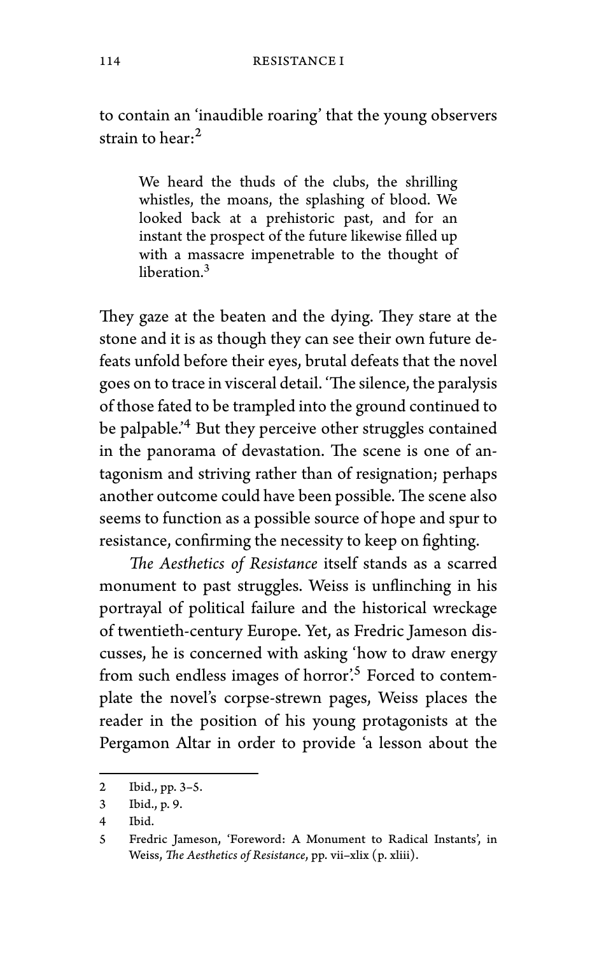to contain an 'inaudible roaring' that the young observers strain to hear: $^2$ 

We heard the thuds of the clubs, the shrilling whistles, the moans, the splashing of blood. We looked back at a prehistoric past, and for an instant the prospect of the future likewise filled up with a massacre impenetrable to the thought of liberation.<sup>3</sup>

They gaze at the beaten and the dying. They stare at the stone and it is as though they can see their own future defeats unfold before their eyes, brutal defeats that the novel goes on to trace in visceral detail. 'The silence, the paralysis of those fated to be trampled into the ground continued to be palpable.'<sup>4</sup> But they perceive other struggles contained in the panorama of devastation. The scene is one of antagonism and striving rather than of resignation; perhaps another outcome could have been possible. The scene also seems to function as a possible source of hope and spur to resistance, confirming the necessity to keep on fighting.

*The Aesthetics of Resistance* itself stands as a scarred monument to past struggles. Weiss is unflinching in his portrayal of political failure and the historical wreckage of twentieth-century Europe. Yet, as Fredric Jameson discusses, he is concerned with asking 'how to draw energy from such endless images of horror'.<sup>5</sup> Forced to contemplate the novel's corpse-strewn pages, Weiss places the reader in the position of his young protagonists at the Pergamon Altar in order to provide 'a lesson about the

<sup>2</sup> Ibid., pp. 3–5.

<sup>3</sup> Ibid., p. 9.

<sup>4</sup> Ibid.

<sup>5</sup> Fredric Jameson, 'Foreword: A Monument to Radical Instants', in Weiss, *The Aesthetics of Resistance*, pp. vii–xlix (p. xliii).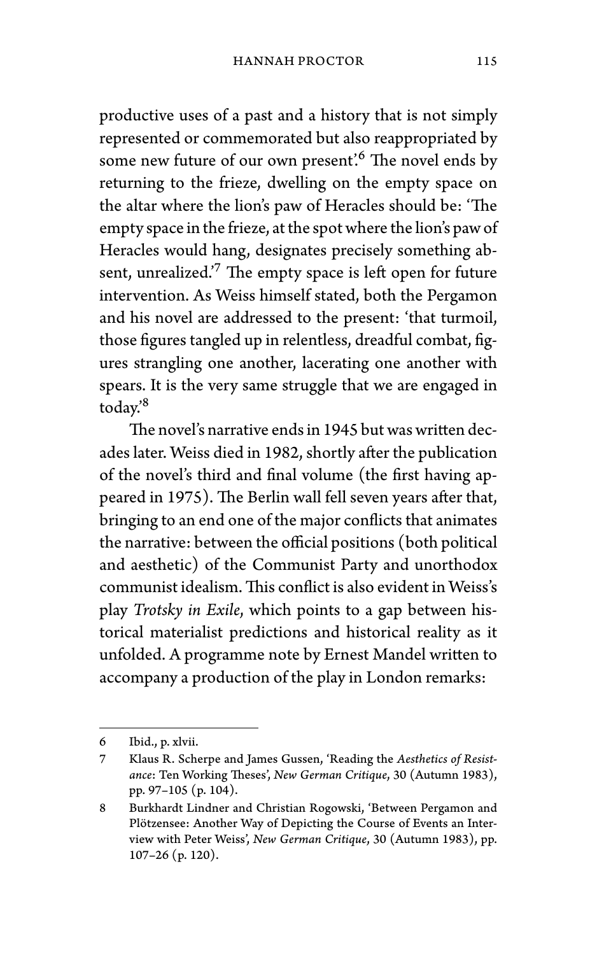productive uses of a past and a history that is not simply represented or commemorated but also reappropriated by some new future of our own present.<sup>6</sup> The novel ends by returning to the frieze, dwelling on the empty space on the altar where the lion's paw of Heracles should be: 'The empty space in the frieze, at the spot where the lion's paw of Heracles would hang, designates precisely something absent, unrealized.<sup>'7</sup> The empty space is left open for future intervention. As Weiss himself stated, both the Pergamon and his novel are addressed to the present: 'that turmoil, those figures tangled up in relentless, dreadful combat, figures strangling one another, lacerating one another with spears. It is the very same struggle that we are engaged in today.'<sup>8</sup>

The novel's narrative ends in 1945 but was written decades later. Weiss died in 1982, shortly after the publication of the novel's third and final volume (the first having appeared in 1975). The Berlin wall fell seven years after that, bringing to an end one of the major conflicts that animates the narrative: between the official positions (both political and aesthetic) of the Communist Party and unorthodox communist idealism.This conflict is also evident in Weiss's play *Trotsky in Exile*, which points to a gap between historical materialist predictions and historical reality as it unfolded. A programme note by Ernest Mandel written to accompany a production of the play in London remarks:

<sup>6</sup> Ibid., p. xlvii.

<sup>7</sup> Klaus R. Scherpe and James Gussen, 'Reading the *Aesthetics of Resistance*: Ten Working Theses', *New German Critique*, 30 (Autumn 1983), pp. 97–105 (p. 104).

<sup>8</sup> Burkhardt Lindner and Christian Rogowski, 'Between Pergamon and Plötzensee: Another Way of Depicting the Course of Events an Interview with Peter Weiss', *New German Critique*, 30 (Autumn 1983), pp. 107–26 (p. 120).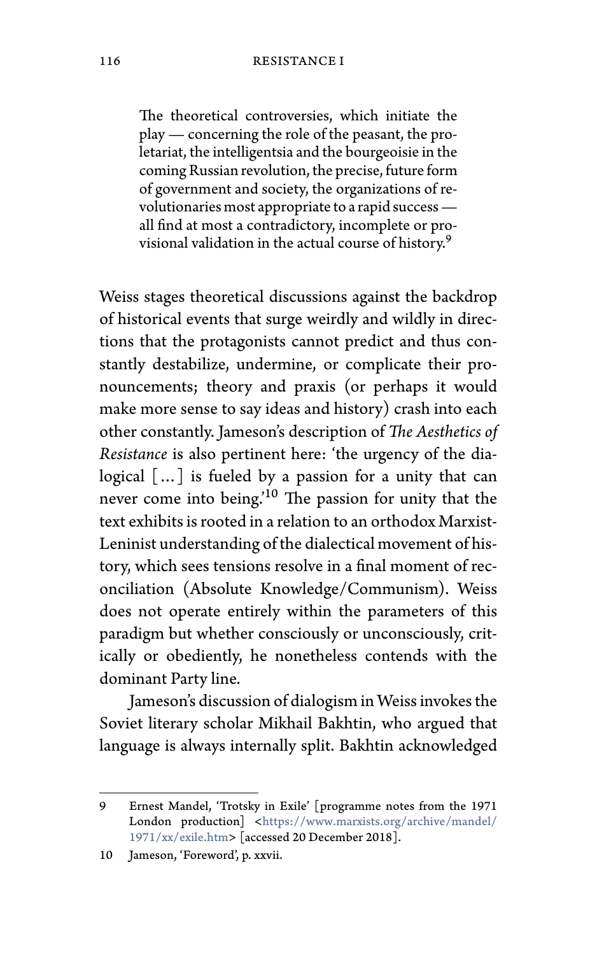### 116 RESISTANCE I

The theoretical controversies, which initiate the play — concerning the role of the peasant, the proletariat, the intelligentsia and the bourgeoisie in the coming Russian revolution, the precise, future form of government and society, the organizations of revolutionaries most appropriate to a rapid success all find at most a contradictory, incomplete or provisional validation in the actual course of history.<sup>9</sup>

Weiss stages theoretical discussions against the backdrop of historical events that surge weirdly and wildly in directions that the protagonists cannot predict and thus constantly destabilize, undermine, or complicate their pronouncements; theory and praxis (or perhaps it would make more sense to say ideas and history) crash into each other constantly. Jameson's description of *The Aesthetics of Resistance* is also perti[nent here: 'the urgency of the dia](https://www.marxists.org/archive/mandel/1971/xx/exile.htm)logi[cal \[…\] is fue](https://www.marxists.org/archive/mandel/1971/xx/exile.htm)led by a passion for a unity that can never come into being.<sup>10</sup> The passion for unity that the text exhibits is rooted in a relation to an orthodox Marxist-Leninist understanding of the dialectical movement of history, which sees tensions resolve in a final moment of reconciliation (Absolute Knowledge/Communism). Weiss does not operate entirely within the parameters of this paradigm but whether consciously or unconsciously, critically or obediently, he nonetheless contends with the dominant Party line.

Jameson's discussion of dialogism in Weiss invokes the Soviet literary scholar Mikhail Bakhtin, who argued that language is always internally split. Bakhtin acknowledged

<sup>9</sup> Ernest Mandel, 'Trotsky in Exile' [programme notes from the 1971 London production] <https://www.marxists.org/archive/mandel/ 1971/xx/exile.htm> [accessed 20 December 2018].

<sup>10</sup> Jameson, 'Foreword', p. xxvii.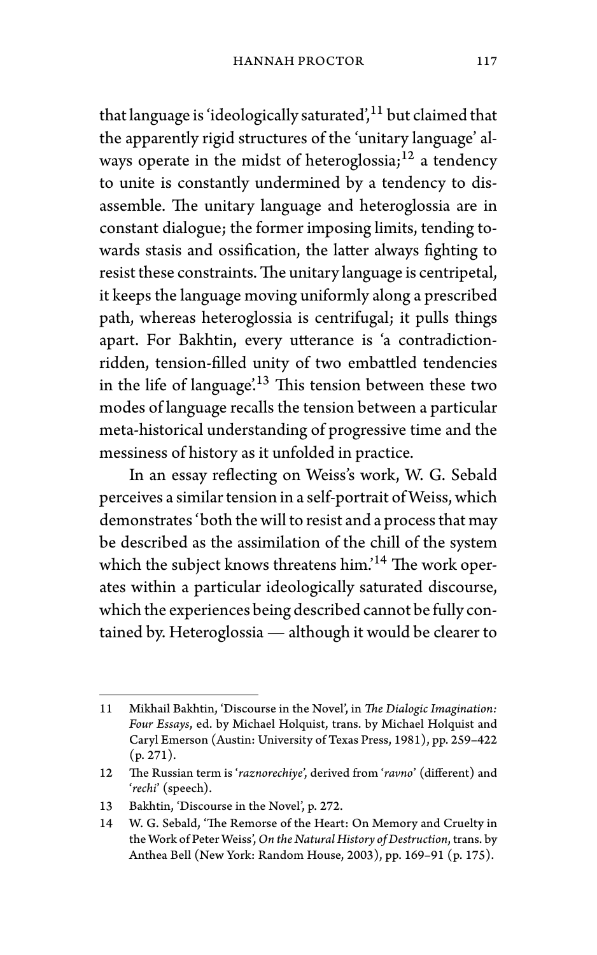that language is 'ideologically saturated', $11$  but claimed that the apparently rigid structures of the 'unitary language' always operate in the midst of heteroglossia;<sup>12</sup> a tendency to unite is constantly undermined by a tendency to disassemble. The unitary language and heteroglossia are in constant dialogue; the former imposing limits, tending towards stasis and ossification, the latter always fighting to resist these constraints.The unitary language is centripetal, it keeps the language moving uniformly along a prescribed path, whereas heteroglossia is centrifugal; it pulls things apart. For Bakhtin, every utterance is 'a contradictionridden, tension-filled unity of two embattled tendencies in the life of language<sup> $13$ </sup> This tension between these two modes of language recalls the tension between a particular meta-historical understanding of progressive time and the messiness of history as it unfolded in practice.

In an essay reflecting on Weiss's work, W. G. Sebald perceives a similar tension in a self-portrait of Weiss, which demonstrates 'both the will to resist and a process that may be described as the assimilation of the chill of the system which the subject knows threatens him.'<sup>14</sup> The work operates within a particular ideologically saturated discourse, which the experiences being described cannot be fully contained by. Heteroglossia — although it would be clearer to

<sup>11</sup> Mikhail Bakhtin, 'Discourse in the Novel', in *The Dialogic Imagination: Four Essays*, ed. by Michael Holquist, trans. by Michael Holquist and Caryl Emerson (Austin: University of Texas Press, 1981), pp. 259–422  $(p. 271)$ .

<sup>12</sup> The Russian term is '*raznorechiye*', derived from '*ravno*' (different) and '*rechi*' (speech).

<sup>13</sup> Bakhtin, 'Discourse in the Novel', p. 272.

<sup>14</sup> W. G. Sebald, 'The Remorse of the Heart: On Memory and Cruelty in the Work of Peter Weiss', *On the Natural History of Destruction*, trans. by Anthea Bell (New York: Random House, 2003), pp. 169–91 (p. 175).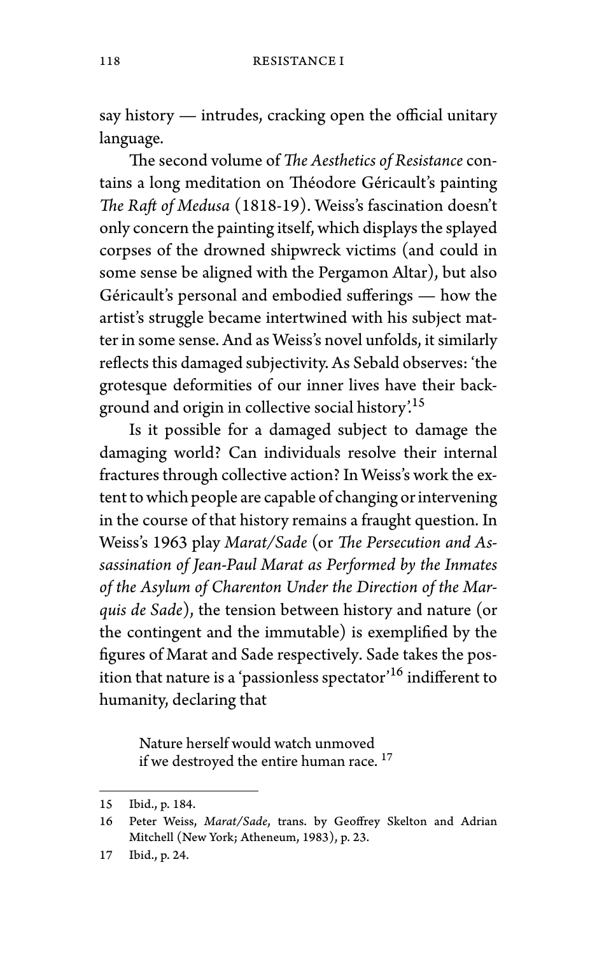say history — intrudes, cracking open the official unitary language.

The second volume of *The Aesthetics of Resistance* contains a long meditation on Théodore Géricault's painting *The Raft of Medusa* (1818-19). Weiss's fascination doesn't only concern the painting itself, which displays the splayed corpses of the drowned shipwreck victims (and could in some sense be aligned with the Pergamon Altar), but also Géricault's personal and embodied sufferings — how the artist's struggle became intertwined with his subject matter in some sense. And as Weiss's novel unfolds, it similarly reflects this damaged subjectivity. As Sebald observes: 'the grotesque deformities of our inner lives have their background and origin in collective social history'.<sup>15</sup>

Is it possible for a damaged subject to damage the damaging world? Can individuals resolve their internal fractures through collective action? In Weiss's work the extent to which people are capable of changing or intervening in the course of that history remains a fraught question. In Weiss's 1963 play *Marat/Sade* (or *The Persecution and Assassination of Jean-Paul Marat as Performed by the Inmates of the Asylum of Charenton Under the Direction of the Marquis de Sade*), the tension between history and nature (or the contingent and the immutable) is exemplified by the figures of Marat and Sade respectively. Sade takes the position that nature is a 'passionless spectator'  $^{16}$  indifferent to humanity, declaring that

Nature herself would watch unmoved if we destroyed the entire human race.<sup>17</sup>

<sup>15</sup> Ibid., p. 184.

<sup>16</sup> Peter Weiss, *Marat/Sade*, trans. by Geoffrey Skelton and Adrian Mitchell (New York; Atheneum, 1983), p. 23.

<sup>17</sup> Ibid., p. 24.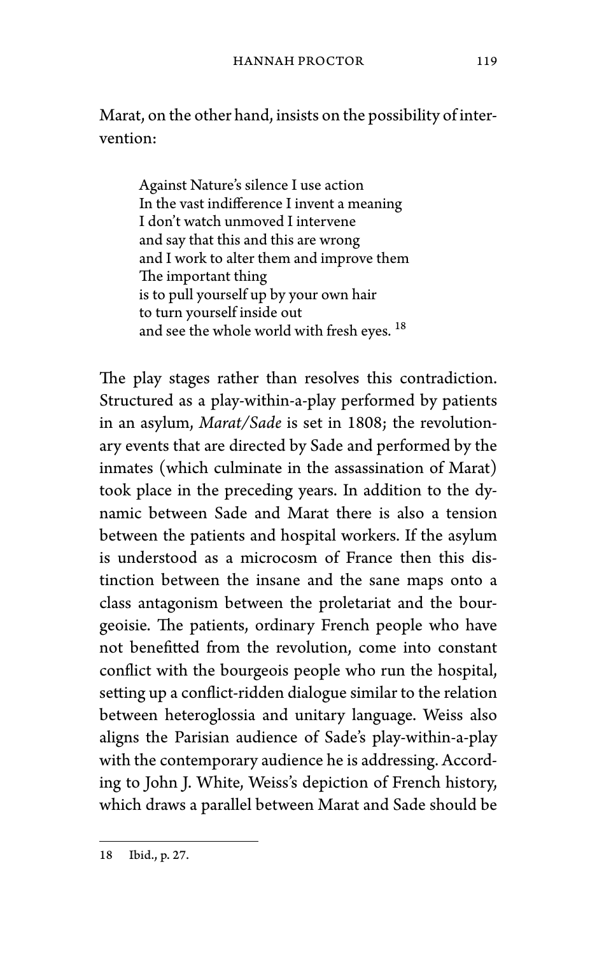Marat, on the other hand, insists on the possibility of intervention:

Against Nature's silence I use action In the vast indifference I invent a meaning I don't watch unmoved I intervene and say that this and this are wrong and I work to alter them and improve them The important thing is to pull yourself up by your own hair to turn yourself inside out and see the whole world with fresh eyes. <sup>18</sup>

The play stages rather than resolves this contradiction. Structured as a play-within-a-play performed by patients in an asylum, *Marat/Sade* is set in 1808; the revolutionary events that are directed by Sade and performed by the inmates (which culminate in the assassination of Marat) took place in the preceding years. In addition to the dynamic between Sade and Marat there is also a tension between the patients and hospital workers. If the asylum is understood as a microcosm of France then this distinction between the insane and the sane maps onto a class antagonism between the proletariat and the bourgeoisie. The patients, ordinary French people who have not benefitted from the revolution, come into constant conflict with the bourgeois people who run the hospital, setting up a conflict-ridden dialogue similar to the relation between heteroglossia and unitary language. Weiss also aligns the Parisian audience of Sade's play-within-a-play with the contemporary audience he is addressing. According to John J. White, Weiss's depiction of French history, which draws a parallel between Marat and Sade should be

<sup>18</sup> Ibid., p. 27.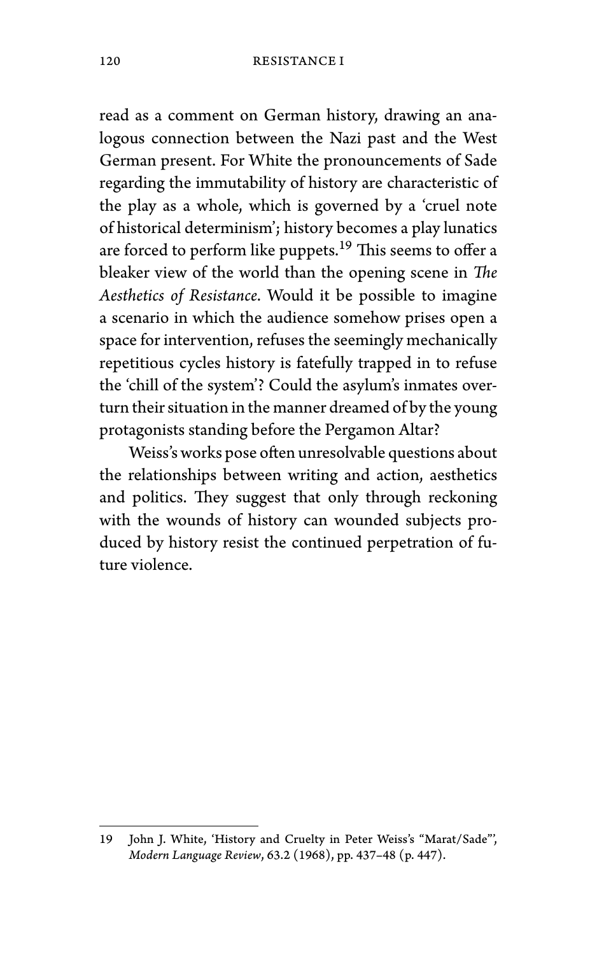read as a comment on German history, drawing an analogous connection between the Nazi past and the West German present. For White the pronouncements of Sade regarding the immutability of history are characteristic of the play as a whole, which is governed by a 'cruel note of historical determinism'; history becomes a play lunatics are forced to perform like puppets.<sup>19</sup> This seems to offer a bleaker view of the world than the opening scene in *The Aesthetics of Resistance*. Would it be possible to imagine a scenario in which the audience somehow prises open a space for intervention, refuses the seemingly mechanically repetitious cycles history is fatefully trapped in to refuse the 'chill of the system'? Could the asylum's inmates overturn their situation in the manner dreamed of by the young protagonists standing before the Pergamon Altar?

Weiss's works pose often unresolvable questions about the relationships between writing and action, aesthetics and politics. They suggest that only through reckoning with the wounds of history can wounded subjects produced by history resist the continued perpetration of future violence.

<sup>19</sup> John J. White, 'History and Cruelty in Peter Weiss's "Marat/Sade"', *Modern Language Review*, 63.2 (1968), pp. 437–48 (p. 447).